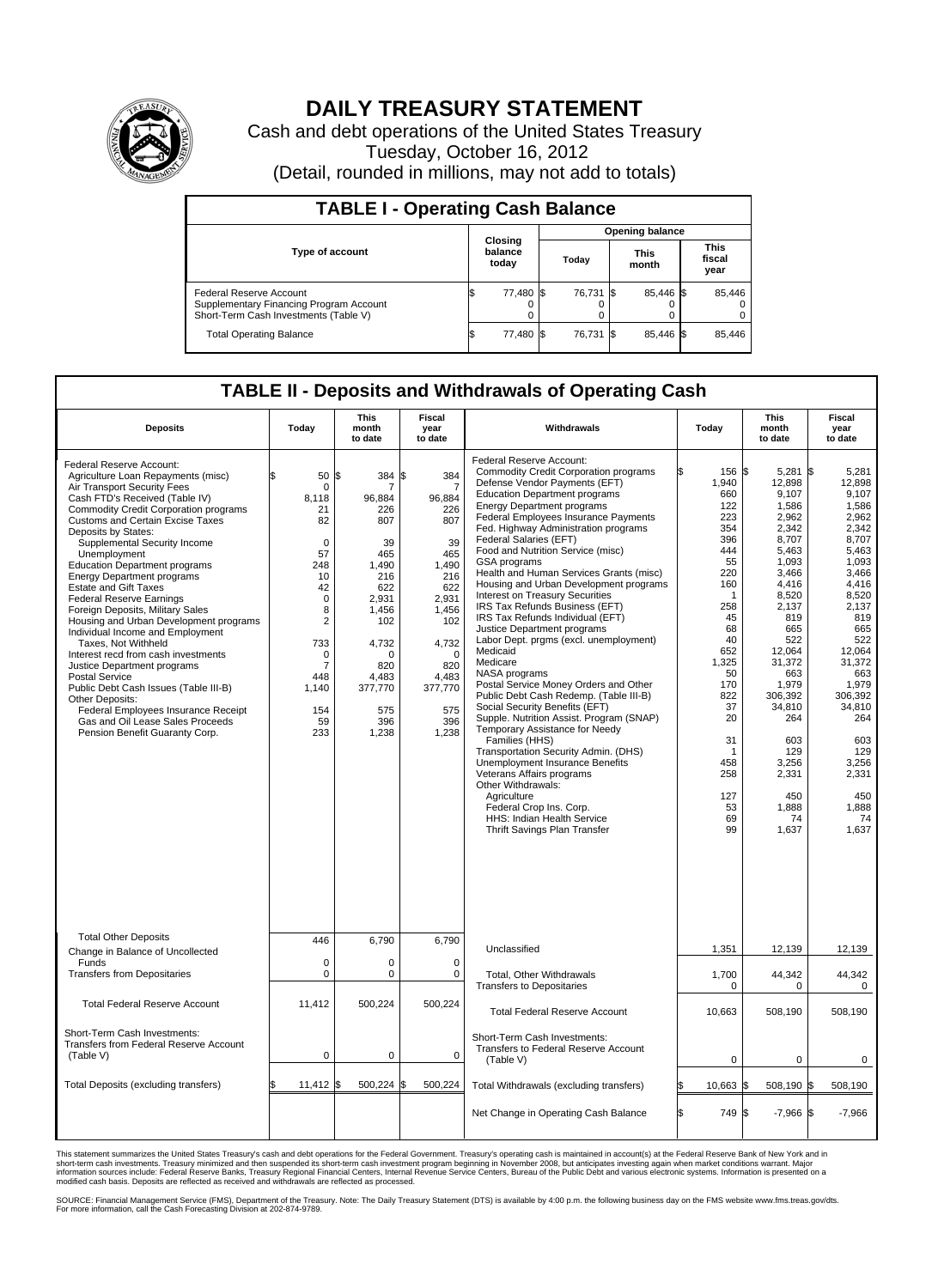

## **DAILY TREASURY STATEMENT**

Cash and debt operations of the United States Treasury Tuesday, October 16, 2012 (Detail, rounded in millions, may not add to totals)

| <b>TABLE I - Operating Cash Balance</b>                                                                     |    |                             |                        |           |  |                      |  |                               |  |
|-------------------------------------------------------------------------------------------------------------|----|-----------------------------|------------------------|-----------|--|----------------------|--|-------------------------------|--|
|                                                                                                             |    |                             | <b>Opening balance</b> |           |  |                      |  |                               |  |
| <b>Type of account</b>                                                                                      |    | Closing<br>balance<br>today |                        | Today     |  | <b>This</b><br>month |  | <b>This</b><br>fiscal<br>year |  |
| Federal Reserve Account<br>Supplementary Financing Program Account<br>Short-Term Cash Investments (Table V) | ß, | 77,480 \$                   |                        | 76,731 \$ |  | 85,446 \$<br>0       |  | 85,446                        |  |
| <b>Total Operating Balance</b>                                                                              | IΦ | 77,480                      |                        | 76,731    |  | 85,446 \$            |  | 85,446                        |  |

## **TABLE II - Deposits and Withdrawals of Operating Cash**

| <b>Deposits</b>                                                                                                                                                                                                                                                                                                                                                                                                                                                                                                                                                                                                                                                                                                                                                                                                                                                    | Todav                                                                                                                                                                        | This<br>month<br>to date                                                                                                                                                    | Fiscal<br>vear<br>to date                                                                                                                                                      | Withdrawals                                                                                                                                                                                                                                                                                                                                                                                                                                                                                                                                                                                                                                                                                                                                                                                                                                                                                                                                                                                                                                                                                                                             | Today                                                                                                                                                                                                                    | This<br>month<br>to date                                                                                                                                                                                                                                               | Fiscal<br>year<br>to date                                                                                                                                                                                                                                                     |  |  |
|--------------------------------------------------------------------------------------------------------------------------------------------------------------------------------------------------------------------------------------------------------------------------------------------------------------------------------------------------------------------------------------------------------------------------------------------------------------------------------------------------------------------------------------------------------------------------------------------------------------------------------------------------------------------------------------------------------------------------------------------------------------------------------------------------------------------------------------------------------------------|------------------------------------------------------------------------------------------------------------------------------------------------------------------------------|-----------------------------------------------------------------------------------------------------------------------------------------------------------------------------|--------------------------------------------------------------------------------------------------------------------------------------------------------------------------------|-----------------------------------------------------------------------------------------------------------------------------------------------------------------------------------------------------------------------------------------------------------------------------------------------------------------------------------------------------------------------------------------------------------------------------------------------------------------------------------------------------------------------------------------------------------------------------------------------------------------------------------------------------------------------------------------------------------------------------------------------------------------------------------------------------------------------------------------------------------------------------------------------------------------------------------------------------------------------------------------------------------------------------------------------------------------------------------------------------------------------------------------|--------------------------------------------------------------------------------------------------------------------------------------------------------------------------------------------------------------------------|------------------------------------------------------------------------------------------------------------------------------------------------------------------------------------------------------------------------------------------------------------------------|-------------------------------------------------------------------------------------------------------------------------------------------------------------------------------------------------------------------------------------------------------------------------------|--|--|
| Federal Reserve Account:<br>Agriculture Loan Repayments (misc)<br>Air Transport Security Fees<br>Cash FTD's Received (Table IV)<br><b>Commodity Credit Corporation programs</b><br><b>Customs and Certain Excise Taxes</b><br>Deposits by States:<br>Supplemental Security Income<br>Unemployment<br><b>Education Department programs</b><br><b>Energy Department programs</b><br><b>Estate and Gift Taxes</b><br><b>Federal Reserve Earnings</b><br>Foreign Deposits, Military Sales<br>Housing and Urban Development programs<br>Individual Income and Employment<br>Taxes, Not Withheld<br>Interest recd from cash investments<br>Justice Department programs<br><b>Postal Service</b><br>Public Debt Cash Issues (Table III-B)<br>Other Deposits:<br>Federal Employees Insurance Receipt<br>Gas and Oil Lease Sales Proceeds<br>Pension Benefit Guaranty Corp. | 50<br>0<br>8.118<br>21<br>82<br>$\mathbf 0$<br>57<br>248<br>10<br>42<br>$\mathbf 0$<br>8<br>$\overline{2}$<br>733<br>0<br>$\overline{7}$<br>448<br>1,140<br>154<br>59<br>233 | l\$<br>384<br>7<br>96,884<br>226<br>807<br>39<br>465<br>1.490<br>216<br>622<br>2,931<br>1,456<br>102<br>4,732<br>$\Omega$<br>820<br>4.483<br>377,770<br>575<br>396<br>1,238 | 384<br>\$.<br>7<br>96,884<br>226<br>807<br>39<br>465<br>1.490<br>216<br>622<br>2,931<br>1,456<br>102<br>4,732<br>$\mathbf 0$<br>820<br>4.483<br>377,770<br>575<br>396<br>1,238 | Federal Reserve Account:<br><b>Commodity Credit Corporation programs</b><br>Defense Vendor Payments (EFT)<br><b>Education Department programs</b><br><b>Energy Department programs</b><br>Federal Employees Insurance Payments<br>Fed. Highway Administration programs<br>Federal Salaries (EFT)<br>Food and Nutrition Service (misc)<br>GSA programs<br>Health and Human Services Grants (misc)<br>Housing and Urban Development programs<br>Interest on Treasury Securities<br>IRS Tax Refunds Business (EFT)<br>IRS Tax Refunds Individual (EFT)<br>Justice Department programs<br>Labor Dept. prgms (excl. unemployment)<br>Medicaid<br>Medicare<br>NASA programs<br>Postal Service Money Orders and Other<br>Public Debt Cash Redemp. (Table III-B)<br>Social Security Benefits (EFT)<br>Supple. Nutrition Assist. Program (SNAP)<br>Temporary Assistance for Needy<br>Families (HHS)<br>Transportation Security Admin. (DHS)<br><b>Unemployment Insurance Benefits</b><br>Veterans Affairs programs<br>Other Withdrawals:<br>Agriculture<br>Federal Crop Ins. Corp.<br>HHS: Indian Health Service<br>Thrift Savings Plan Transfer | 156 \$<br>1,940<br>660<br>122<br>223<br>354<br>396<br>444<br>55<br>220<br>160<br>$\mathbf{1}$<br>258<br>45<br>68<br>40<br>652<br>1,325<br>50<br>170<br>822<br>37<br>20<br>31<br>1<br>458<br>258<br>127<br>53<br>69<br>99 | 5,281<br>12,898<br>9,107<br>1,586<br>2,962<br>2,342<br>8,707<br>5.463<br>1,093<br>3,466<br>4,416<br>8,520<br>2,137<br>819<br>665<br>522<br>12.064<br>31,372<br>663<br>1,979<br>306,392<br>34,810<br>264<br>603<br>129<br>3,256<br>2,331<br>450<br>1,888<br>74<br>1,637 | 1\$<br>5.281<br>12,898<br>9,107<br>1,586<br>2,962<br>2,342<br>8,707<br>5.463<br>1,093<br>3,466<br>4,416<br>8,520<br>2,137<br>819<br>665<br>522<br>12.064<br>31,372<br>663<br>1,979<br>306,392<br>34,810<br>264<br>603<br>129<br>3,256<br>2,331<br>450<br>1,888<br>74<br>1,637 |  |  |
| <b>Total Other Deposits</b><br>Change in Balance of Uncollected                                                                                                                                                                                                                                                                                                                                                                                                                                                                                                                                                                                                                                                                                                                                                                                                    | 446                                                                                                                                                                          | 6.790                                                                                                                                                                       | 6.790                                                                                                                                                                          | Unclassified                                                                                                                                                                                                                                                                                                                                                                                                                                                                                                                                                                                                                                                                                                                                                                                                                                                                                                                                                                                                                                                                                                                            | 1,351                                                                                                                                                                                                                    | 12,139                                                                                                                                                                                                                                                                 | 12,139                                                                                                                                                                                                                                                                        |  |  |
| Funds<br><b>Transfers from Depositaries</b>                                                                                                                                                                                                                                                                                                                                                                                                                                                                                                                                                                                                                                                                                                                                                                                                                        | $\mathbf 0$<br>0                                                                                                                                                             | 0<br>$\pmb{0}$                                                                                                                                                              | $\mathbf 0$<br>$\mathbf 0$                                                                                                                                                     | <b>Total. Other Withdrawals</b><br><b>Transfers to Depositaries</b>                                                                                                                                                                                                                                                                                                                                                                                                                                                                                                                                                                                                                                                                                                                                                                                                                                                                                                                                                                                                                                                                     | 1,700<br>$\mathbf 0$                                                                                                                                                                                                     | 44,342<br>0                                                                                                                                                                                                                                                            | 44,342<br>$\mathbf 0$                                                                                                                                                                                                                                                         |  |  |
| <b>Total Federal Reserve Account</b>                                                                                                                                                                                                                                                                                                                                                                                                                                                                                                                                                                                                                                                                                                                                                                                                                               | 11,412                                                                                                                                                                       | 500,224                                                                                                                                                                     | 500,224                                                                                                                                                                        | <b>Total Federal Reserve Account</b>                                                                                                                                                                                                                                                                                                                                                                                                                                                                                                                                                                                                                                                                                                                                                                                                                                                                                                                                                                                                                                                                                                    | 10,663                                                                                                                                                                                                                   | 508,190                                                                                                                                                                                                                                                                | 508,190                                                                                                                                                                                                                                                                       |  |  |
| Short-Term Cash Investments:<br>Transfers from Federal Reserve Account<br>(Table V)                                                                                                                                                                                                                                                                                                                                                                                                                                                                                                                                                                                                                                                                                                                                                                                | $\mathbf 0$                                                                                                                                                                  | $\mathbf 0$                                                                                                                                                                 | $\mathbf 0$                                                                                                                                                                    | Short-Term Cash Investments:<br>Transfers to Federal Reserve Account<br>(Table V)                                                                                                                                                                                                                                                                                                                                                                                                                                                                                                                                                                                                                                                                                                                                                                                                                                                                                                                                                                                                                                                       | $\mathbf 0$                                                                                                                                                                                                              | 0                                                                                                                                                                                                                                                                      | 0                                                                                                                                                                                                                                                                             |  |  |
| Total Deposits (excluding transfers)                                                                                                                                                                                                                                                                                                                                                                                                                                                                                                                                                                                                                                                                                                                                                                                                                               | 11,412                                                                                                                                                                       | 500,224<br>l\$                                                                                                                                                              | 500,224                                                                                                                                                                        | Total Withdrawals (excluding transfers)                                                                                                                                                                                                                                                                                                                                                                                                                                                                                                                                                                                                                                                                                                                                                                                                                                                                                                                                                                                                                                                                                                 | 10,663 \$                                                                                                                                                                                                                | 508,190 \$                                                                                                                                                                                                                                                             | 508,190                                                                                                                                                                                                                                                                       |  |  |
|                                                                                                                                                                                                                                                                                                                                                                                                                                                                                                                                                                                                                                                                                                                                                                                                                                                                    |                                                                                                                                                                              |                                                                                                                                                                             |                                                                                                                                                                                | Net Change in Operating Cash Balance                                                                                                                                                                                                                                                                                                                                                                                                                                                                                                                                                                                                                                                                                                                                                                                                                                                                                                                                                                                                                                                                                                    | 749 \$<br>ß.                                                                                                                                                                                                             | $-7,966$ \$                                                                                                                                                                                                                                                            | $-7,966$                                                                                                                                                                                                                                                                      |  |  |

This statement summarizes the United States Treasury's cash and debt operations for the Federal Government. Treasury's operating cash is maintained in account(s) at the Federal Reserve Bank of New York and in<br>short-term ca

SOURCE: Financial Management Service (FMS), Department of the Treasury. Note: The Daily Treasury Statement (DTS) is available by 4:00 p.m. the following business day on the FMS website www.fms.treas.gov/dts.<br>For more infor